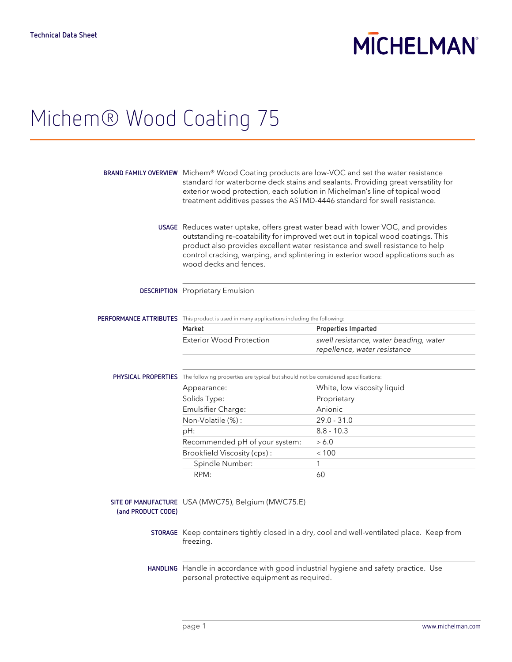## **MICHELMAN**

### Michem® Wood Coating 75

|                    | BRAND FAMILY OVERVIEW Michem® Wood Coating products are low-VOC and set the water resistance<br>standard for waterborne deck stains and sealants. Providing great versatility for<br>exterior wood protection, each solution in Michelman's line of topical wood<br>treatment additives passes the ASTMD-4446 standard for swell resistance.                      |                                                                        |
|--------------------|-------------------------------------------------------------------------------------------------------------------------------------------------------------------------------------------------------------------------------------------------------------------------------------------------------------------------------------------------------------------|------------------------------------------------------------------------|
|                    | USAGE Reduces water uptake, offers great water bead with lower VOC, and provides<br>outstanding re-coatability for improved wet out in topical wood coatings. This<br>product also provides excellent water resistance and swell resistance to help<br>control cracking, warping, and splintering in exterior wood applications such as<br>wood decks and fences. |                                                                        |
|                    | <b>DESCRIPTION</b> Proprietary Emulsion                                                                                                                                                                                                                                                                                                                           |                                                                        |
|                    | PERFORMANCE ATTRIBUTES This product is used in many applications including the following:                                                                                                                                                                                                                                                                         |                                                                        |
|                    | Market                                                                                                                                                                                                                                                                                                                                                            | Properties Imparted                                                    |
|                    | <b>Exterior Wood Protection</b>                                                                                                                                                                                                                                                                                                                                   | swell resistance, water beading, water<br>repellence, water resistance |
|                    | PHYSICAL PROPERTIES The following properties are typical but should not be considered specifications:                                                                                                                                                                                                                                                             |                                                                        |
|                    | Appearance:                                                                                                                                                                                                                                                                                                                                                       | White, low viscosity liquid                                            |
|                    | Solids Type:                                                                                                                                                                                                                                                                                                                                                      | Proprietary                                                            |
|                    | Emulsifier Charge:                                                                                                                                                                                                                                                                                                                                                | Anionic                                                                |
|                    | Non-Volatile (%):                                                                                                                                                                                                                                                                                                                                                 | $29.0 - 31.0$                                                          |
|                    | pH:                                                                                                                                                                                                                                                                                                                                                               | $8.8 - 10.3$                                                           |
|                    | Recommended pH of your system:                                                                                                                                                                                                                                                                                                                                    | > 6.0                                                                  |
|                    | Brookfield Viscosity (cps):                                                                                                                                                                                                                                                                                                                                       | < 100                                                                  |
|                    | Spindle Number:                                                                                                                                                                                                                                                                                                                                                   | 1                                                                      |
|                    | RPM:                                                                                                                                                                                                                                                                                                                                                              | 60                                                                     |
| (and PRODUCT CODE) | SITE OF MANUFACTURE USA (MWC75), Belgium (MWC75.E)                                                                                                                                                                                                                                                                                                                |                                                                        |
|                    | STORAGE Keep containers tightly closed in a dry, cool and well-ventilated place. Keep from<br>freezing.                                                                                                                                                                                                                                                           |                                                                        |
|                    | HANDLING Handle in accordance with good industrial hygiene and safety practice. Use<br>personal protective equipment as required.                                                                                                                                                                                                                                 |                                                                        |